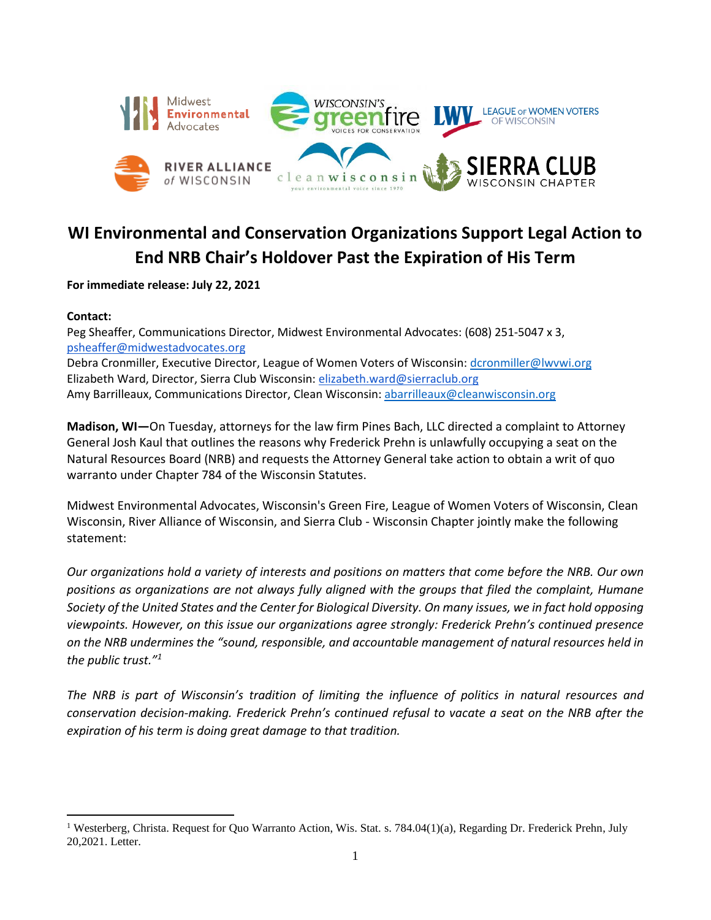

## **WI Environmental and Conservation Organizations Support Legal Action to End NRB Chair's Holdover Past the Expiration of His Term**

**For immediate release: July 22, 2021**

## **Contact:**

Peg Sheaffer, Communications Director, Midwest Environmental Advocates: (608) 251-5047 x 3, [psheaffer@midwestadvocates.org](mailto:psheaffer@midwestadvocates.org) Debra Cronmiller, Executive Director, League of Women Voters of Wisconsin: [dcronmiller@lwvwi.org](mailto:dcronmiller@lwvwi.org) Elizabeth Ward, Director, Sierra Club Wisconsin: [elizabeth.ward@sierraclub.org](mailto:elizabeth.ward@sierraclub.org) Amy Barrilleaux, Communications Director, Clean Wisconsin: [abarrilleaux@cleanwisconsin.org](mailto:abarrilleaux@cleanwisconsin.org)

**Madison, WI—**On Tuesday, attorneys for the law firm Pines Bach, LLC directed a complaint to Attorney General Josh Kaul that outlines the reasons why Frederick Prehn is unlawfully occupying a seat on the Natural Resources Board (NRB) and requests the Attorney General take action to obtain a writ of quo warranto under Chapter 784 of the Wisconsin Statutes.

Midwest Environmental Advocates, Wisconsin's Green Fire, League of Women Voters of Wisconsin, Clean Wisconsin, River Alliance of Wisconsin, and Sierra Club - Wisconsin Chapter jointly make the following statement:

*Our organizations hold a variety of interests and positions on matters that come before the NRB. Our own positions as organizations are not always fully aligned with the groups that filed the complaint, Humane Society of the United States and the Center for Biological Diversity. On many issues, we in fact hold opposing viewpoints. However, on this issue our organizations agree strongly: Frederick Prehn's continued presence on the NRB undermines the "sound, responsible, and accountable management of natural resources held in the public trust."<sup>1</sup>*

*The NRB is part of Wisconsin's tradition of limiting the influence of politics in natural resources and conservation decision-making. Frederick Prehn's continued refusal to vacate a seat on the NRB after the expiration of his term is doing great damage to that tradition.* 

<sup>&</sup>lt;sup>1</sup> Westerberg, Christa. Request for Quo Warranto Action, Wis. Stat. s. 784.04(1)(a), Regarding Dr. Frederick Prehn, July 20,2021. Letter.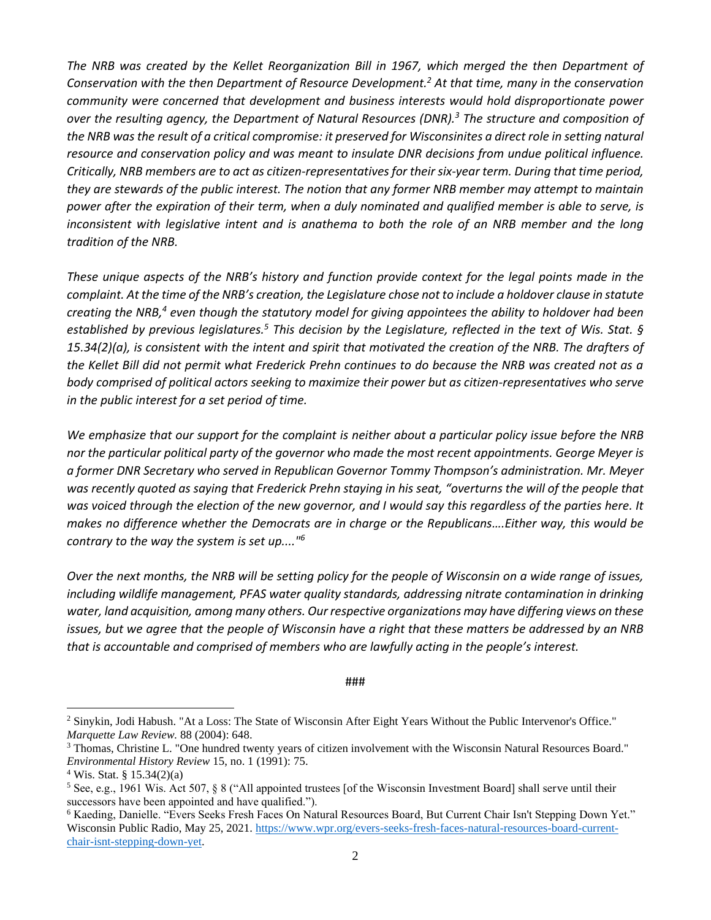*The NRB was created by the Kellet Reorganization Bill in 1967, which merged the then Department of Conservation with the then Department of Resource Development.<sup>2</sup> At that time, many in the conservation community were concerned that development and business interests would hold disproportionate power over the resulting agency, the Department of Natural Resources (DNR). <sup>3</sup> The structure and composition of the NRB was the result of a critical compromise: it preserved for Wisconsinites a direct role in setting natural resource and conservation policy and was meant to insulate DNR decisions from undue political influence. Critically, NRB members are to act as citizen-representatives for their six-year term. During that time period, they are stewards of the public interest. The notion that any former NRB member may attempt to maintain power after the expiration of their term, when a duly nominated and qualified member is able to serve, is inconsistent with legislative intent and is anathema to both the role of an NRB member and the long tradition of the NRB.*

*These unique aspects of the NRB's history and function provide context for the legal points made in the complaint. At the time of the NRB's creation, the Legislature chose not to include a holdover clause in statute creating the NRB, <sup>4</sup> even though the statutory model for giving appointees the ability to holdover had been established by previous legislatures. <sup>5</sup> This decision by the Legislature, reflected in the text of Wis. Stat. § 15.34(2)(a), is consistent with the intent and spirit that motivated the creation of the NRB. The drafters of the Kellet Bill did not permit what Frederick Prehn continues to do because the NRB was created not as a body comprised of political actors seeking to maximize their power but as citizen-representatives who serve in the public interest for a set period of time.*

*We emphasize that our support for the complaint is neither about a particular policy issue before the NRB nor the particular political party of the governor who made the most recent appointments. George Meyer is a former DNR Secretary who served in Republican Governor Tommy Thompson's administration. Mr. Meyer was recently quoted as saying that Frederick Prehn staying in his seat, "overturns the will of the people that was voiced through the election of the new governor, and I would say this regardless of the parties here. It makes no difference whether the Democrats are in charge or the Republicans….Either way, this would be contrary to the way the system is set up...."<sup>6</sup>*

*Over the next months, the NRB will be setting policy for the people of Wisconsin on a wide range of issues, including wildlife management, PFAS water quality standards, addressing nitrate contamination in drinking water, land acquisition, among many others. Our respective organizations may have differing views on these issues, but we agree that the people of Wisconsin have a right that these matters be addressed by an NRB that is accountable and comprised of members who are lawfully acting in the people's interest.*

## ###

<sup>&</sup>lt;sup>2</sup> Sinykin, Jodi Habush. "At a Loss: The State of Wisconsin After Eight Years Without the Public Intervenor's Office." *Marquette Law Review.* 88 (2004): 648.

<sup>&</sup>lt;sup>3</sup> Thomas, Christine L. "One hundred twenty years of citizen involvement with the Wisconsin Natural Resources Board." *Environmental History Review* 15, no. 1 (1991): 75.

<sup>4</sup> Wis. Stat. § 15.34(2)(a)

<sup>&</sup>lt;sup>5</sup> See, e.g., 1961 Wis. Act 507, § 8 ("All appointed trustees [of the Wisconsin Investment Board] shall serve until their successors have been appointed and have qualified.").

<sup>6</sup> Kaeding, Danielle. "Evers Seeks Fresh Faces On Natural Resources Board, But Current Chair Isn't Stepping Down Yet." Wisconsin Public Radio, May 25, 2021. [https://www.wpr.org/evers-seeks-fresh-faces-natural-resources-board-current](https://www.wpr.org/evers-seeks-fresh-faces-natural-resources-board-current-chair-isnt-stepping-down-yet)[chair-isnt-stepping-down-yet.](https://www.wpr.org/evers-seeks-fresh-faces-natural-resources-board-current-chair-isnt-stepping-down-yet)